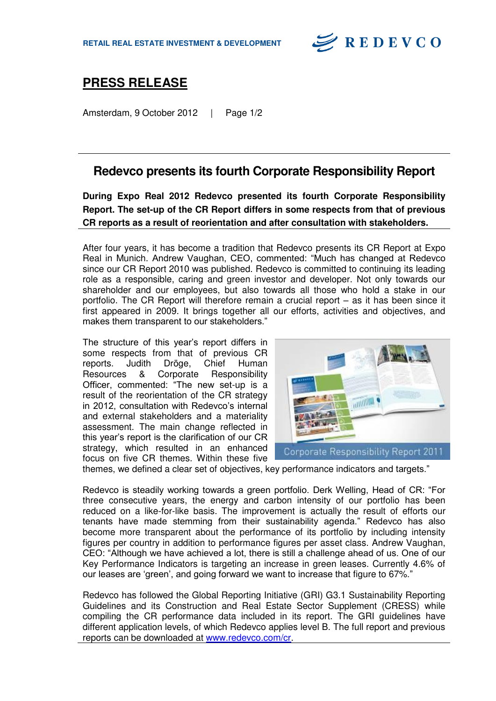

## **PRESS RELEASE**

Amsterdam, 9 October 2012 | Page 1/2

## **Redevco presents its fourth Corporate Responsibility Report**

**During Expo Real 2012 Redevco presented its fourth Corporate Responsibility Report. The set-up of the CR Report differs in some respects from that of previous CR reports as a result of reorientation and after consultation with stakeholders.** 

After four years, it has become a tradition that Redevco presents its CR Report at Expo Real in Munich. Andrew Vaughan, CEO, commented: "Much has changed at Redevco since our CR Report 2010 was published. Redevco is committed to continuing its leading role as a responsible, caring and green investor and developer. Not only towards our shareholder and our employees, but also towards all those who hold a stake in our portfolio. The CR Report will therefore remain a crucial report – as it has been since it first appeared in 2009. It brings together all our efforts, activities and objectives, and makes them transparent to our stakeholders."

The structure of this year's report differs in some respects from that of previous CR reports. Judith Dröge, Chief Human Resources & Corporate Responsibility Officer, commented: "The new set-up is a result of the reorientation of the CR strategy in 2012, consultation with Redevco's internal and external stakeholders and a materiality assessment. The main change reflected in this year's report is the clarification of our CR strategy, which resulted in an enhanced focus on five CR themes. Within these five



themes, we defined a clear set of objectives, key performance indicators and targets."

Redevco is steadily working towards a green portfolio. Derk Welling, Head of CR: "For three consecutive years, the energy and carbon intensity of our portfolio has been reduced on a like-for-like basis. The improvement is actually the result of efforts our tenants have made stemming from their sustainability agenda." Redevco has also become more transparent about the performance of its portfolio by including intensity figures per country in addition to performance figures per asset class. Andrew Vaughan, CEO: "Although we have achieved a lot, there is still a challenge ahead of us. One of our Key Performance Indicators is targeting an increase in green leases. Currently 4.6% of our leases are 'green', and going forward we want to increase that figure to 67%."

Redevco has followed the Global Reporting Initiative (GRI) G3.1 Sustainability Reporting Guidelines and its Construction and Real Estate Sector Supplement (CRESS) while compiling the CR performance data included in its report. The GRI guidelines have different application levels, of which Redevco applies level B. The full report and previous reports can be downloaded at [www.redevco.com/cr.](http://www.redevco.com/cr)